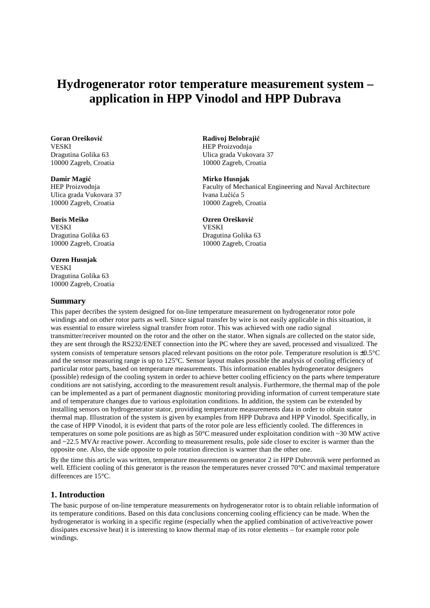# **Hydrogenerator rotor temperature measurement system – application in HPP Vinodol and HPP Dubrava**

**Goran Orešković**<br> **Goran Orešković**<br> **Goran Orešković**<br> **Radivoj Belobrajić**<br> **REP Proizvodnia** 10000 Zagreb, Croatia 10000 Zagreb, Croatia

Ulica grada Vukovara 37 Ivana Lučića 5<br>10000 Zagreb, Croatia 10000 Zagreb, Croatia 10000 Zagreb, Croatia 10000 Zagreb, Croatia

**Boris Meško Ozren Oreškovi**ć VESKI VESKI Dragutina Golika 63 Dragutina Golika 63 10000 Zagreb, Croatia 10000 Zagreb, Croatia

### **Ozren Husnjak**

VESKI Dragutina Golika 63 10000 Zagreb, Croatia

#### **Summary**

HEP Proizvodnja Dragutina Golika 63 Ulica grada Vukovara 37

#### **Damir Magi**ć **Mirko Husnjak**

HEP Proizvodnja Faculty of Mechanical Engineering and Naval Architecture

This paper decribes the system designed for on-line temperature measurement on hydrogenerator rotor pole windings and on other rotor parts as well. Since signal transfer by wire is not easily applicable in this situation, it was essential to ensure wireless signal transfer from rotor. This was achieved with one radio signal transmitter/receiver mounted on the rotor and the other on the stator. When signals are collected on the stator side, they are sent through the RS232/ENET connection into the PC where they are saved, processed and visualized. The system consists of temperature sensors placed relevant positions on the rotor pole. Temperature resolution is ±0.5°C and the sensor measuring range is up to 125°C. Sensor layout makes possible the analysis of cooling efficiency of particular rotor parts, based on temperature measurements. This information enables hydrogenerator designers (possible) redesign of the cooling system in order to achieve better cooling efficiency on the parts where temperature conditions are not satisfying, according to the measurement result analysis. Furthermore, the thermal map of the pole can be implemented as a part of permanent diagnostic monitoring providing information of current temperature state and of temperature changes due to various exploitation conditions. In addition, the system can be extended by installing sensors on hydrogenerator stator, providing temperature measurements data in order to obtain stator thermal map. Illustration of the system is given by examples from HPP Dubrava and HPP Vinodol. Specifically, in the case of HPP Vinodol, it is evident that parts of the rotor pole are less efficiently cooled. The differences in temperatures on some pole positions are as high as 50°C measured under exploitation condition with ~30 MW active and ~22.5 MVAr reactive power. According to measurement results, pole side closer to exciter is warmer than the opposite one. Also, the side opposite to pole rotation direction is warmer than the other one.

By the time this article was written, temperature measurements on generator 2 in HPP Dubrovnik were performed as well. Efficient cooling of this generator is the reason the temperatures never crossed 70<sup>o</sup>C and maximal temperature differences are 15°C.

# **1. Introduction**

The basic purpose of on-line temperature measurements on hydrogenerator rotor is to obtain reliable information of its temperature conditions. Based on this data conclusions concerning cooling efficiency can be made. When the hydrogenerator is working in a specific regime (especially when the applied combination of active/reactive power dissipates excessive heat) it is interesting to know thermal map of its rotor elements – for example rotor pole windings.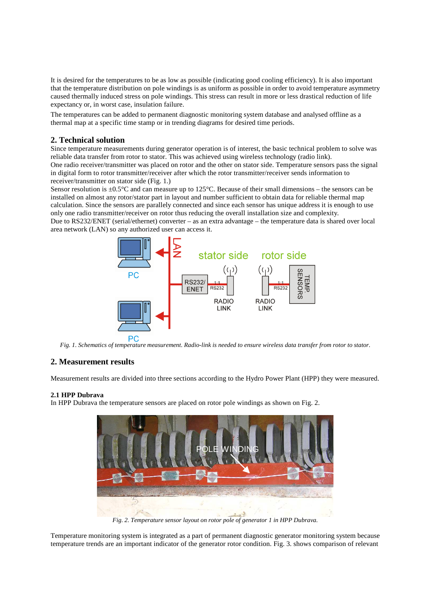It is desired for the temperatures to be as low as possible (indicating good cooling efficiency). It is also important that the temperature distribution on pole windings is as uniform as possible in order to avoid temperature asymmetry caused thermally induced stress on pole windings. This stress can result in more or less drastical reduction of life expectancy or, in worst case, insulation failure.

The temperatures can be added to permanent diagnostic monitoring system database and analysed offline as a thermal map at a specific time stamp or in trending diagrams for desired time periods.

# **2. Technical solution**

Since temperature measurements during generator operation is of interest, the basic technical problem to solve was reliable data transfer from rotor to stator. This was achieved using wireless technology (radio link). One radio receiver/transmitter was placed on rotor and the other on stator side. Temperature sensors pass the signal in digital form to rotor transmitter/receiver after which the rotor transmitter/receiver sends information to receiver/transmitter on stator side (Fig. 1.)

Sensor resolution is ±0.5°C and can measure up to 125°C. Because of their small dimensions – the sensors can be installed on almost any rotor/stator part in layout and number sufficient to obtain data for reliable thermal map calculation. Since the sensors are parallely connected and since each sensor has unique address it is enough to use only one radio transmitter/receiver on rotor thus reducing the overall installation size and complexity.

Due to RS232/ENET (serial/ethernet) converter – as an extra advantage – the temperature data is shared over local area network (LAN) so any authorized user can access it.



*Fig. 1. Schematics of temperature measurement. Radio-link is needed to ensure wireless data transfer from rotor to stator.* 

# **2. Measurement results**

Measurement results are divided into three sections according to the Hydro Power Plant (HPP) they were measured.

#### **2.1 HPP Dubrava**

In HPP Dubrava the temperature sensors are placed on rotor pole windings as shown on Fig. 2.



*Fig. 2. Temperature sensor layout on rotor pole of generator 1 in HPP Dubrava.* 

Temperature monitoring system is integrated as a part of permanent diagnostic generator monitoring system because temperature trends are an important indicator of the generator rotor condition. Fig. 3. shows comparison of relevant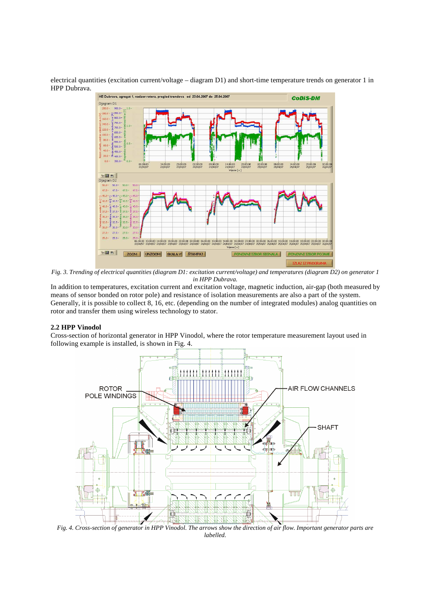electrical quantities (excitation current/voltage – diagram D1) and short-time temperature trends on generator 1 in HPP Dubrava.



*Fig. 3. Trending of electrical quantities (diagram D1: excitation current/voltage) and temperatures (diagram D2) on generator 1 in HPP Dubrava.* 

In addition to temperatures, excitation current and excitation voltage, magnetic induction, air-gap (both measured by means of sensor bonded on rotor pole) and resistance of isolation measurements are also a part of the system. Generally, it is possible to collect 8, 16, etc. (depending on the number of integrated modules) analog quantities on rotor and transfer them using wireless technology to stator.

#### **2.2 HPP Vinodol**

Cross-section of horizontal generator in HPP Vinodol, where the rotor temperature measurement layout used in following example is installed, is shown in Fig. 4.



*Fig. 4. Cross-section of generator in HPP Vinodol. The arrows show the direction of air flow. Important generator parts are labelled.*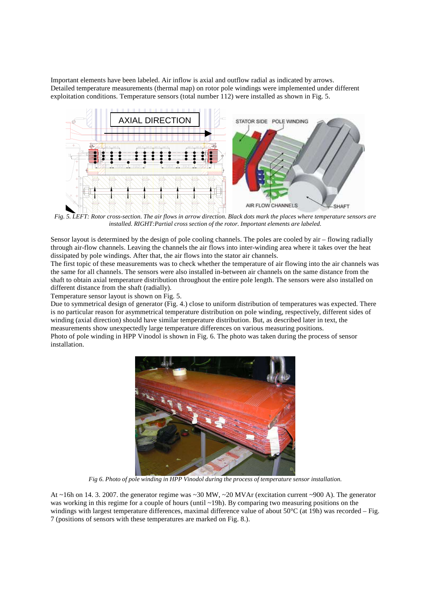Important elements have been labeled. Air inflow is axial and outflow radial as indicated by arrows. Detailed temperature measurements (thermal map) on rotor pole windings were implemented under different exploitation conditions. Temperature sensors (total number 112) were installed as shown in Fig. 5.



 *Fig. 5. LEFT: Rotor cross-section. The air flows in arrow direction. Black dots mark the places where temperature sensors are installed. RIGHT:Partial cross section of the rotor. Important elements are labeled.* 

Sensor layout is determined by the design of pole cooling channels. The poles are cooled by air – flowing radially through air-flow channels. Leaving the channels the air flows into inter-winding area where it takes over the heat dissipated by pole windings. After that, the air flows into the stator air channels.

The first topic of these measurements was to check whether the temperature of air flowing into the air channels was the same for all channels. The sensors were also installed in-between air channels on the same distance from the shaft to obtain axial temperature distribution throughout the entire pole length. The sensors were also installed on different distance from the shaft (radially).

Temperature sensor layout is shown on Fig. 5.

Due to symmetrical design of generator (Fig. 4.) close to uniform distribution of temperatures was expected. There is no particular reason for asymmetrical temperature distribution on pole winding, respectively, different sides of winding (axial direction) should have similar temperature distribution. But, as described later in text, the measurements show unexpectedly large temperature differences on various measuring positions. Photo of pole winding in HPP Vinodol is shown in Fig. 6. The photo was taken during the process of sensor installation.



*Fig 6. Photo of pole winding in HPP Vinodol during the process of temperature sensor installation.* 

At ~16h on 14. 3. 2007. the generator regime was ~30 MW, ~20 MVAr (excitation current ~900 A). The generator was working in this regime for a couple of hours (until ~19h). By comparing two measuring positions on the windings with largest temperature differences, maximal difference value of about 50°C (at 19h) was recorded – Fig. 7 (positions of sensors with these temperatures are marked on Fig. 8.).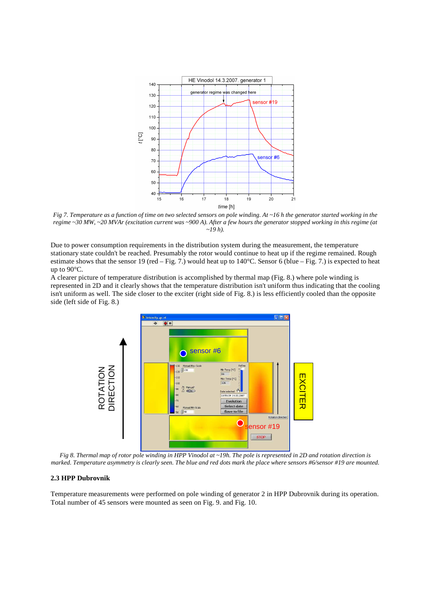

*Fig 7. Temperature as a function of time on two selected sensors on pole winding. At ~16 h the generator started working in the regime ~30 MW, ~20 MVAr (excitation current was ~900 A). After a few hours the generator stopped working in this regime (at ~19 h).* 

Due to power consumption requirements in the distribution system during the measurement, the temperature stationary state couldn't be reached. Presumably the rotor would continue to heat up if the regime remained. Rough estimate shows that the sensor 19 (red – Fig. 7.) would heat up to  $140^{\circ}$ C. Sensor 6 (blue – Fig. 7.) is expected to heat up to 90°C.

A clearer picture of temperature distribution is accomplished by thermal map (Fig. 8.) where pole winding is represented in 2D and it clearly shows that the temperature distribution isn't uniform thus indicating that the cooling isn't uniform as well. The side closer to the exciter (right side of Fig. 8.) is less efficiently cooled than the opposite side (left side of Fig. 8.)



*Fig 8. Thermal map of rotor pole winding in HPP Vinodol at ~19h. The pole is represented in 2D and rotation direction is marked. Temperature asymmetry is clearly seen. The blue and red dots mark the place where sensors #6/sensor #19 are mounted.* 

#### **2.3 HPP Dubrovnik**

Temperature measurements were performed on pole winding of generator 2 in HPP Dubrovnik during its operation.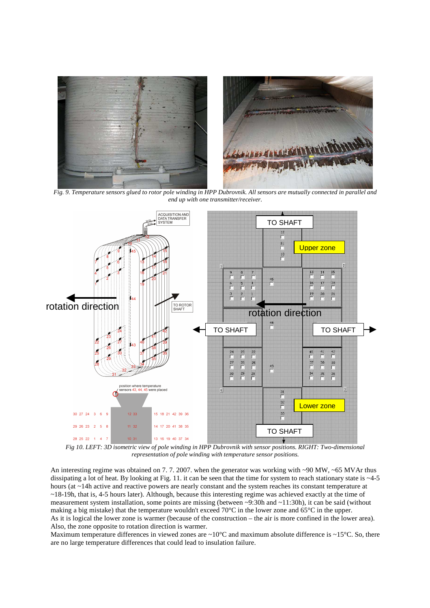

 *Fig. 9. Temperature sensors glued to rotor pole winding in HPP Dubrovnik. All sensors are mutually connected in parallel and end up with one transmitter/receiver.* 



 *Fig 10. LEFT: 3D isometric view of pole winding in HPP Dubrovnik with sensor positions. RIGHT: Two-dimensional representation of pole winding with temperature sensor positions.* 

An interesting regime was obtained on 7.7. 2007. when the generator was working with ~90 MW, ~65 MVAr thus dissipating a lot of heat. By looking at Fig. 11. it can be seen that the time for system to reach stationary state is  $\sim$ 4-5 hours (at ~14h active and reactive powers are nearly constant and the system reaches its constant temperature at ~18-19h, that is, 4-5 hours later). Although, because this interesting regime was achieved exactly at the time of measurement system installation, some points are missing (between ~9:30h and ~11:30h), it can be said (without making a big mistake) that the temperature wouldn't exceed 70°C in the lower zone and 65°C in the upper. As it is logical the lower zone is warmer (because of the construction – the air is more confined in the lower area). Also, the zone opposite to rotation direction is warmer.

Maximum temperature differences in viewed zones are  $\sim 10^{\circ}$ C and maximum absolute difference is  $\sim 15^{\circ}$ C. So, there are no large temperature differences that could lead to insulation failure.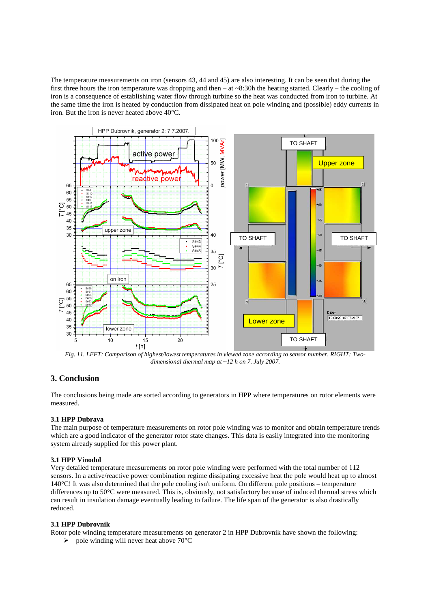The temperature measurements on iron (sensors 43, 44 and 45) are also interesting. It can be seen that during the first three hours the iron temperature was dropping and then – at ~8:30h the heating started. Clearly – the cooling of iron is a consequence of establishing water flow through turbine so the heat was conducted from iron to turbine. At the same time the iron is heated by conduction from dissipated heat on pole winding and (possible) eddy currents in iron. But the iron is never heated above 40°C.



*dimensional thermal map at ~12 h on 7. July 2007.* 

# **3. Conclusion**

The conclusions being made are sorted according to generators in HPP where temperatures on rotor elements were measured.

#### **3.1 HPP Dubrava**

The main purpose of temperature measurements on rotor pole winding was to monitor and obtain temperature trends which are a good indicator of the generator rotor state changes. This data is easily integrated into the monitoring system already supplied for this power plant.

#### **3.1 HPP Vinodol**

Very detailed temperature measurements on rotor pole winding were performed with the total number of 112 sensors. In a active/reactive power combination regime dissipating excessive heat the pole would heat up to almost 140°C! It was also determined that the pole cooling isn't uniform. On different pole positions – temperature differences up to 50°C were measured. This is, obviously, not satisfactory because of induced thermal stress which can result in insulation damage eventually leading to failure. The life span of the generator is also drastically reduced.

#### **3.1 HPP Dubrovnik**

Rotor pole winding temperature measurements on generator 2 in HPP Dubrovnik have shown the following:

 $\triangleright$  pole winding will never heat above 70°C